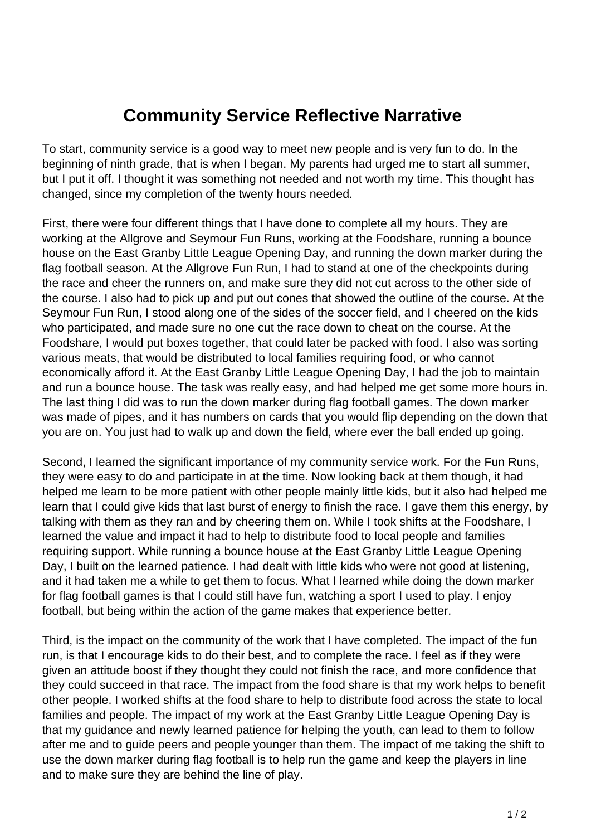## **Community Service Reflective Narrative**

To start, community service is a good way to meet new people and is very fun to do. In the beginning of ninth grade, that is when I began. My parents had urged me to start all summer, but I put it off. I thought it was something not needed and not worth my time. This thought has changed, since my completion of the twenty hours needed.

First, there were four different things that I have done to complete all my hours. They are working at the Allgrove and Seymour Fun Runs, working at the Foodshare, running a bounce house on the East Granby Little League Opening Day, and running the down marker during the flag football season. At the Allgrove Fun Run, I had to stand at one of the checkpoints during the race and cheer the runners on, and make sure they did not cut across to the other side of the course. I also had to pick up and put out cones that showed the outline of the course. At the Seymour Fun Run, I stood along one of the sides of the soccer field, and I cheered on the kids who participated, and made sure no one cut the race down to cheat on the course. At the Foodshare, I would put boxes together, that could later be packed with food. I also was sorting various meats, that would be distributed to local families requiring food, or who cannot economically afford it. At the East Granby Little League Opening Day, I had the job to maintain and run a bounce house. The task was really easy, and had helped me get some more hours in. The last thing I did was to run the down marker during flag football games. The down marker was made of pipes, and it has numbers on cards that you would flip depending on the down that you are on. You just had to walk up and down the field, where ever the ball ended up going.

Second, I learned the significant importance of my community service work. For the Fun Runs, they were easy to do and participate in at the time. Now looking back at them though, it had helped me learn to be more patient with other people mainly little kids, but it also had helped me learn that I could give kids that last burst of energy to finish the race. I gave them this energy, by talking with them as they ran and by cheering them on. While I took shifts at the Foodshare, I learned the value and impact it had to help to distribute food to local people and families requiring support. While running a bounce house at the East Granby Little League Opening Day, I built on the learned patience. I had dealt with little kids who were not good at listening, and it had taken me a while to get them to focus. What I learned while doing the down marker for flag football games is that I could still have fun, watching a sport I used to play. I enjoy football, but being within the action of the game makes that experience better.

Third, is the impact on the community of the work that I have completed. The impact of the fun run, is that I encourage kids to do their best, and to complete the race. I feel as if they were given an attitude boost if they thought they could not finish the race, and more confidence that they could succeed in that race. The impact from the food share is that my work helps to benefit other people. I worked shifts at the food share to help to distribute food across the state to local families and people. The impact of my work at the East Granby Little League Opening Day is that my guidance and newly learned patience for helping the youth, can lead to them to follow after me and to guide peers and people younger than them. The impact of me taking the shift to use the down marker during flag football is to help run the game and keep the players in line and to make sure they are behind the line of play.